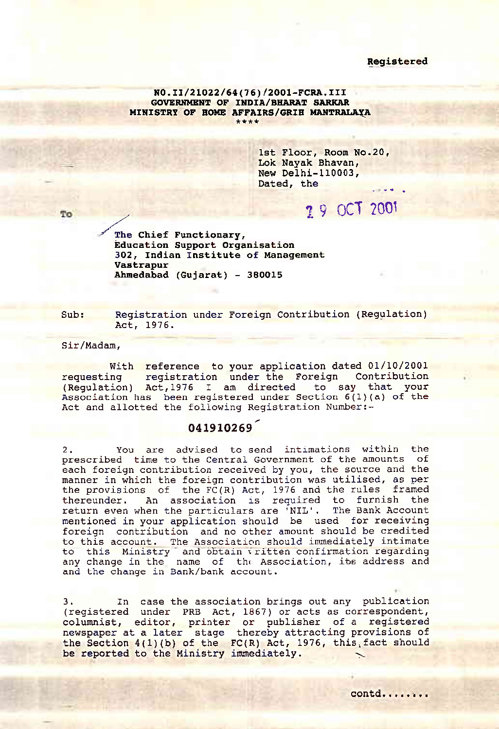## Registered

NO.II/21022/64(76)/2001-FCRA.III **GOVERNMENT OF INDIA/BHARAT SARKAR** MINISTRY OF HOME AFFAIRS/GRIH MANTRALAYA  $+ + + +$ 

> 1st Floor, Room No.20, Lok Navak Bhavan, New Delhi-110003, Dated, the

> > 1 9 OCT 2001

## $T<sub>0</sub>$

The Chief Functionary, **Education Support Organisation** 302, Indian Institute of Management Vastrapur Ahmedabad (Gujarat) - 380015

Sub: Registration under Foreign Contribution (Regulation) Act. 1976.

Sir/Madam.

With reference to your application dated 01/10/2001 requesting registration under the Foreign Contribution (Requilation) Act, 1976 I am directed to say that your Association has been registered under Section 6(1)(a) of the Act and allotted the following Registration Number:-

## 041910269

You are advised to send intimations within the  $2.$ prescribed time to the Central Government of the amounts of each foreign contribution received by you, the source and the manner in which the foreign contribution was utilised, as per the provisions of the FC(R) Act, 1976 and the rules framed thereunder. An association is required to furnish the return even when the particulars are 'NIL'. The Bank Account<br>mentioned in your application should be used for receiving foreign contribution and no other amount should be credited to this account. The Association should immediately intimate to this Ministry and obtain vritten confirmation regarding any change in the name of the Association, its address and and the change in Bank/bank account.

In case the association brings out any publication 3. (registered under PRB Act, 1867) or acts as correspondent, countaint, editor, printer or publisher of a registered<br>newspaper at a later stage thereby attracting provisions of<br>the Section 4(1)(b) of the FC(R) Act, 1976, this fact should be reported to the Ministry immediately.